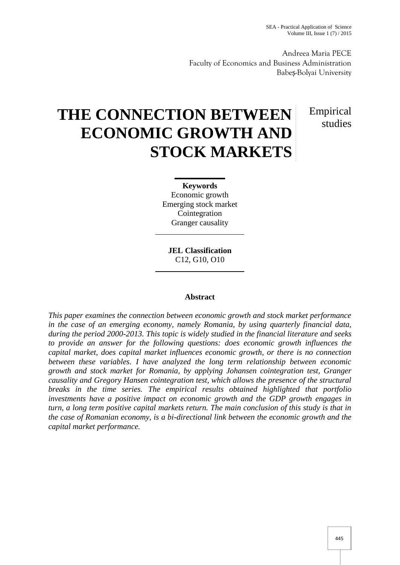Andreea Maria PECE Faculty of Economics and Business Administration Babe -Bolyai University

# Empirical studies

# **THE CONNECTION BETWEEN ECONOMIC GROWTH AND STOCK MARKETS**

**Keywords** Economic growth Emerging stock market Cointegration Granger causality

**JEL Classification** C12, G10, O10

# **Abstract**

*This paper examines the connection between economic growth and stock market performance in the case of an emerging economy, namely Romania, by using quarterly financial data, during the period 2000-2013. This topic is widely studied in the financial literature and seeks to provide an answer for the following questions: does economic growth influences the capital market, does capital market influences economic growth, or there is no connection between these variables. I have analyzed the long term relationship between economic growth and stock market for Romania, by applying Johansen cointegration test, Granger causality and Gregory Hansen cointegration test, which allows the presence of the structural breaks in the time series. The empirical results obtained highlighted that portfolio investments have a positive impact on economic growth and the GDP growth engages in turn, a long term positive capital markets return. The main conclusion of this study is that in the case of Romanian economy, is a bi-directional link between the economic growth and the capital market performance.*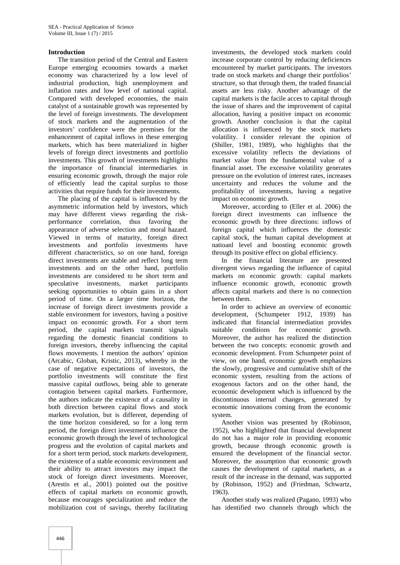#### **Introduction**

The transition period of the Central and Eastern Europe emerging economies towards a market economy was characterized by a low level of industrial production, high unemployment and inflation rates and low level of national capital. Compared with developed economies, the main catalyst of a sustainable growth was represented by the level of foreign investments. The development of stock markets and the augmentation of the investors' confidence were the premises for the enhancement of capital inflows in these emerging markets, which has been materialized in higher levels of foreign direct investments and portfolio investments. This growth of investments highlights the importance of financial intermediaries in ensuring economic growth, through the major role of efficiently lead the capital surplus to those activities that require funds for their investments.

The placing of the capital is influenced by the asymmetric information held by investors, which may have different views regarding the risk performance correlation, thus favoring the appearance of adverse selection and moral hazard. Viewed in terms of maturity, foreign direct investments and portfolio investments have different characteristics, so on one hand, foreign direct investments are stable and reflect long term investments and on the other hand, portfolio investments are considered to be short term and speculative investments, market participants seeking opportunities to obtain gains in a short period of time. On a larger time horizon, the increase of foreign direct investments provide a stable environment for investors, having a positive impact on economic growth. For a short term period, the capital markets transmit signals regarding the domestic financial conditions to foreign investors, thereby influencing the capital flows movements. I mention the authors' opinion (Arcabic, Globan, Kristic, 2013), whereby in the case of negative expectations of investors, the portfolio investments will constitute the first massive capital outflows, being able to generate contagion between capital markets. Furthermore, the authors indicate the existence of a causality in both direction between capital flows and stock markets evolution, but is different, depending of the time horizon considered, so for a long term period, the foreign direct investments influence the economic growth through the level of technological progress and the evolution of capital markets and for a short term period, stock markets development, the existence of a stable economic environment and their ability to attract investors may impact the stock of foreign direct investments. Moreover, (Arestis et al., 2001) pointed out the positive effects of capital markets on economic growth, because encourages specialization and reduce the mobilization cost of savings, thereby facilitating

investments, the developed stock markets could increase corporate control by reducing deficiences encountered by market participants. The investors trade on stock markets and change their portfolios' structure, so that through them, the traded financial assets are less risky. Another advantage of the capital markets is the facile acces to capital through the issue of shares and the improvement of capital allocation, having a positive impact on economic growth. Another conclusion is that the capital allocation is influenced by the stock markets volatility. I consider relevant the opinion of (Shiller, 1981, 1989), who highlights that the excessive volatility reflects the deviations of market value from the fundamental value of a financial asset. The excessive volatility generates pressure on the evolution of interest rates, increases uncertainty and reduces the volume and the profitability of investments, having a negative impact on economic growth.

Moreover, according to (Eller et al. 2006) the foreign direct investments can influence the economic growth by three directions: inflows of foreign capital which influences the domestic capital stock, the human capital development at natioanl level and boosting economic growth through its positive effect on global efficiency.

In the financial literature are presented divergent views regarding the influence of capital markets on economic growth: capital markets influence economic growth, economic growth affects capital markets and there is no connection between them.

In order to achieve an overview of economic development, (Schumpeter 1912, 1939) has indicated that financial intermediation provides suitable conditions for economic growth. Moreover, the author has realized the distinction between the two concepts: economic growth and economic development. From Schumpeter point of view, on one hand, economic growth emphasizes the slowly, progressive and cumulative shift of the economic system, resulting from the actions of exogenous factors and on the other hand, the economic development which is influenced by the discontinuous internal changes, generated by economic innovations coming from the economic system.

Another vision was presented by (Robinson, 1952), who highlighted that financial development do not has a major role in providing economic growth, because through economic growth is ensured the development of the financial sector. Moreover, the assumption that economic growth causes the development of capital markets, as a result of the increase in the demand, was supported by (Robinson, 1952) and (Friedman, Schwartz, 1963).

Another study was realized (Pagano, 1993) who has identified two channels through which the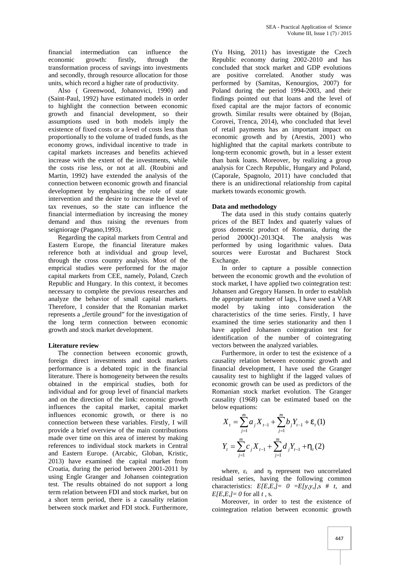financial intermediation can influence the economic growth: firstly, through the transformation process of savings into investments and secondly, through resource allocation for those units, which record a higher rate of productivity.

Also ( Greenwood, Johanovici, 1990) and (Saint-Paul, 1992) have estimated models in order to highlight the connection between economic growth and financial development, so their assumptions used in both models imply the existence of fixed costs or a level of costs less than proportionally to the volume of traded funds, as the economy grows, individual incentive to trade in capital markets increases and benefits achieved increase with the extent of the investments, while the costs rise less, or not at all. (Roubini and Martin, 1992) have extended the analysis of the connection between economic growth and financial development by emphasizing the role of state intervention and the desire to increase the level of tax revenues, so the state can influence the financial intermediation by increasing the money demand and thus raising the revenues from seigniorage (Pagano,1993).

Regarding the capital markets from Central and Eastern Europe, the financial literature makes reference both at individual and group level, through the cross country analysis. Most of the emprical studies were performed for the major capital markets from CEE, namely, Poland, Czech Republic and Hungary. In this context, it becomes necessary to complete the previous researches and analyze the behavior of small capital markets. Therefore, I consider that the Romanian market represents a "fertile ground" for the investigation of the long term connection between economic growth and stock market development.

# **Literature review**

The connection between economic growth, foreign direct investments and stock markets performance is a debated topic in the financial literature. There is homogeneity between the results obtained in the empirical studies, both for individual and for group level of financial markets and on the direction of the link: economic growth influences the capital market, capital market influences economic growth, or there is no connection between these variables. Firstly, I will provide a brief overview of the main contributions made over time on this area of interest by making references to individual stock markets in Central and Eastern Europe. (Arcabic, Globan, Kristic, 2013) have examined the capital market from Croatia, during the period between 2001-2011 by using Engle Granger and Johansen cointegration test. The results obtained do not support a long term relation between FDI and stock market, but on a short term period, there is a causality relation between stock market and FDI stock. Furthermore, (Yu Hsing, 2011) has investigate the Czech Republic economy during 2002-2010 and has concluded that stock market and GDP evolutions are positive correlated. Another study was performed by (Samitas, Kenourgios, 2007) for Poland during the period 1994-2003, and their findings pointed out that loans and the level of fixed capital are the major factors of economic growth. Similar results were obtained by (Bojan, Corovei, Trenca, 2014), who concluded that level of retail payments has an important impact on economic growth and by (Arestis, 2001) who highlighted that the capital markets contribute to long-term economic growth, but in a lesser extent than bank loans. Moreover, by realizing a group analysis for Czech Republic, Hungary and Poland, (Caporale, Spagnolo, 2011) have concluded that there is an unidirectional relationship from capital markets towards economic growth.

# **Data and methodology**

The data used in this study contains quaterly prices of the BET Index and quaterly values of gross domestic product of Romania, during the period 2000Q1-2013Q4. The analysis was performed by using logarithmic values. Data sources were Eurostat and Bucharest Stock Exchange.

In order to capture a possible connection between the economic growth and the evolution of stock market, I have applied two cointegration test: Johansen and Gregory Hansen. In order to establish the appropriate number of lags, I have used a VAR model by taking into consideration the characteristics of the time series. Firstly, I have examined the time series stationarity and then I have applied Johansen cointegration test for identification of the number of cointegrating vectors between the analyzed variables.

Furthermore, in order to test the existence of a causality relation between economic growth and financial development, I have used the Granger causality test to highlight if the lagged values of economic growth can be used as predictors of the Romanian stock market evolution. The Granger causality (1968) can be estimated based on the below equations:

$$
X_{t} = \sum_{j=1}^{m} a_{j} X_{t-1} + \sum_{j=1}^{m} b_{j} Y_{t-1} + V_{t}(1)
$$
  

$$
Y_{t} = \sum_{j=1}^{m} c_{j} X_{t-1} + \sum_{j=1}^{m} d_{j} Y_{t-1} + Y_{t}(2)
$$

where,  $\epsilon$  and  $\epsilon$  represent two uncorrelated residual series, having the following common characteristics:  $E[E, E, ] = 0 = E[y, y, ]$ , s # *t*, and  $E[E,E,l=0$  for all *t*, *s*.

Moreover, in order to test the existence of cointegration relation between economic growth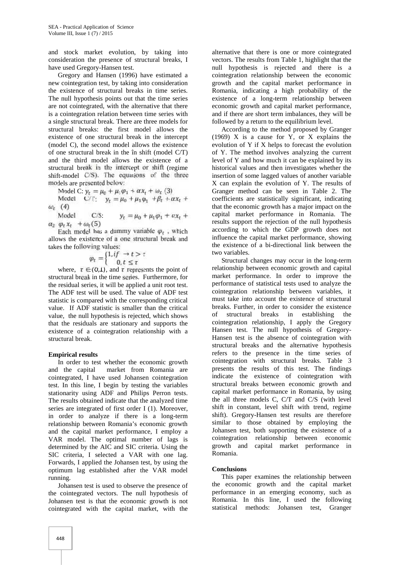and stock market evolution, by taking into consideration the presence of structural breaks, I have used Gregory-Hansen test.

Gregory and Hansen (1996) have estimated a new cointegration test, by taking into consideration the existence of structural breaks in time series. The null hypothesis points out that the time series are not cointegrated, with the alternative that there is a cointegration relation between time series with a single structural break. There are three models for structural breaks: the first model allows the existence of one structural break in the intercept (model C), the second model allows the existence of one structural break in the în shift (model C/T) and the third model allows the existence of a structural break in the intercept or shift (regime shift-model  $C/S$ ). The equations of the three models are presented below:

Model C:  $y_t = \mu_0 + \mu_1 \varphi_1 + \alpha x_t + \omega_t$  (3)

Model C/T:  $y_t = \mu_0 + \mu_1 \varphi_1 + \beta_t + \alpha x_t +$ 

 $\frac{\omega_t(4)}{\text{Model}}$ C/S:  $y_t = \mu_0 + \mu_1 \varphi_1 + \alpha x_t +$  $a_2 \varphi_t x_t + \omega_t(5)$ 

Each model has a dummy variable  $\varphi_t$ , which allows the existence of a one structural break and takes the following values:

$$
\varphi_t = \begin{cases} 1, & t > \tau \\ 0, & t \leq \tau \end{cases}
$$

where,  $\tau \in (0,1)$ , and  $\tau$  represents the point of structural break in the time series. Furthermore, for the residual series, it will be applied a unit root test. The ADF test will be used. The value of ADF test statistic is compared with the corresponding critical value. If ADF statistic is smaller than the critical value, the null hypothesis is rejected, which shows that the residuals are stationary and supports the existence of a cointegration relationship with a structural break.

# **Empirical results**

In order to test whether the economic growth and the capital market from Romania are cointegrated, I have used Johansen cointegration test. In this line, I begin by testing the variables stationarity using ADF and Philips Perron tests. The results obtained indicate that the analyzed time series are integrated of first order I (1). Moreover, in order to analyze if there is a long-term relationship between Romania's economic growth and the capital market performance, I employ a VAR model. The optimal number of lags is determined by the AIC and SIC criteria. Using the SIC criteria, I selected a VAR with one lag. Forwards, I applied the Johansen test, by using the optimum lag established after the VAR model running.

Johansen test is used to observe the presence of the cointegrated vectors. The null hypothesis of Johansen test is that the economic growth is not cointegrated with the capital market, with the

alternative that there is one or more cointegrated vectors. The results from Table 1, highlight that the null hypothesis is rejected and there is a cointegration relationship between the economic growth and the capital market performance in Romania, indicating a high probability of the existence of a long-term relationship between economic growth and capital market performance, and if there are short term imbalances, they will be followed by a return to the equilibrium level.

According to the method proposed by Granger (1969) X is a cause for Y, or X explains the evolution of Y if X helps to forecast the evolution of Y. The method involves analyzing the current level of Y and how much it can be explained by its historical values and then investigates whether the insertion of some lagged values of another variable X can explain the evolution of Y. The results of Granger method can be seen in Table 2. The coefficients are statistically significant, indicating that the economic growth has a major impact on the capital market performance in Romania. The results support the rejection of the null hypothesis according to which the GDP growth does not influence the capital market performance, showing the existence of a bi-directional link between the two variables.

Structural changes may occur in the long-term relationship between economic growth and capital market performance. In order to improve the performance of statistical tests used to analyze the cointegration relationship between variables, it must take into account the existence of structural breaks. Further, in order to consider the existence of structural breaks in establishing the cointegration relationship, I apply the Gregory Hansen test. The null hypothesis of Gregory- Hansen test is the absence of cointegration with structural breaks and the alternative hypothesis refers to the presence in the time series of cointegration with structural breaks. Table 3 presents the results of this test. The findings indicate the existence of cointegration with structural breaks between economic growth and capital market performance in Romania, by using the all three models C, C/T and C/S (with level shift in constant, level shift with trend, regime shift). Gregory-Hansen test results are therefore similar to those obtained by employing the Johansen test, both supporting the existence of a cointegration relationship between economic growth and capital market performance in Romania.

#### **Conclusions**

This paper examines the relationship between the economic growth and the capital market performance in an emerging economy, such as Romania. In this line, I used the following statistical methods: Johansen test, Granger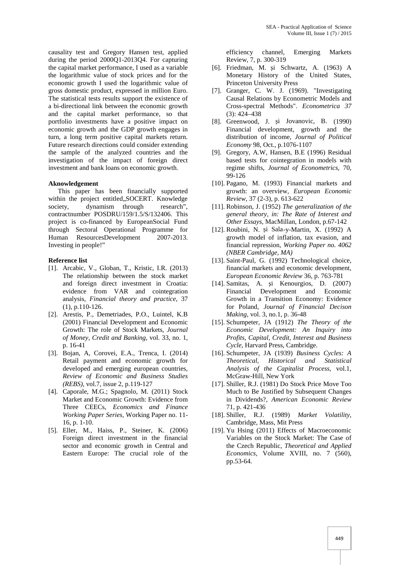causality test and Gregory Hansen test, applied during the period 2000Q1-2013Q4. For capturing the capital market performance, I used as a variable the logarithmic value of stock prices and for the economic growth I used the logarithmic value of gross domestic product, expressed in million Euro. The statistical tests results support the existence of a bi-directional link between the economic growth and the capital market performance, so that portfolio investments have a positive impact on economic growth and the GDP growth engages in turn, a long term positive capital markets return. Future research directions could consider extending the sample of the analyzed countries and the investigation of the impact of foreign direct investment and bank loans on economic growth.

#### **Aknowledgement**

This paper has been financially supported within the project entitled, SOCERT. Knowledge society, dynamism through research", contractnumber POSDRU/159/1.5/S/132406. This project is co-financed by EuropeanSocial Fund through Sectoral Operational Programme for Human ResourcesDevelopment 2007-2013. Investing in people!"

#### **Reference list**

- [1]. Arcabic, V., Globan, T., Kristic, I.R. (2013) The relationship between the stock market and foreign direct investment in Croatia: evidence from VAR and cointegration analysis, *Financial theory and practice*, 37 (1), p.110-126.
- [2]. Arestis, P., Demetriades, P.O., Luintel, K.B (2001) Financial Development and Economic Growth: The role of Stock Markets, *Journal of Money, Credit and Banking*, vol. 33, no. 1, p. 16-41
- [3]. Bojan, A, Corovei, E.A., Trenca, I. (2014) Retail payment and economic growth for developed and emerging european countries, *Review of Economic and Business Studies (REBS)*, vol.7, issue 2, p.119-127
- [4]. Caporale, M.G.; Spagnolo, M. (2011) Stock Market and Economic Growth: Evidence from Three CEECs, *Economics and Finance Working Paper Series*, Working Paper no. 11- 16, p. 1-10.
- [5]. Eller, M., Haiss, P., Steiner, K. (2006) Foreign direct investment in the financial sector and economic growth in Central and Eastern Europe: The crucial role of the

efficiency channel, Emerging Markets Review, 7, p. 300-319

- [6]. Friedman, M. i Schwartz, A. (1963) A Monetary History of the United States, Princeton University Press
- [7]. Granger, C. W. J. (1969). "Investigating Causal Relations by Econometric Models and Cross-spectral Methods". *Econometrica 37* (3): 424–438
- [8]. Greenwood, J.  $i$  Jovanovic, B. (1990) Financial development, growth and the distribution of income, *Journal of Political Economy* 98, Oct., p.1076-1107
- [9]. Gregory, A.W, Hansen, B.E (1996) Residual based tests for cointegration in models with regime shifts, *Journal of Econometrics*, 70, 99-126
- [10]. Pagano, M. (1993) Financial markets and growth: an overview, *European Economic Review*, 37 (2-3), p. 613-622
- [11]. Robinson, J. (1952) *The generalization of the general theory, in: The Rate of Interest and Other Essays*, MacMillan, London, p.67-142
- [12]. Roubini, N. i Sala-y-Martin, X.  $(1992)$  A growth model of inflation, tax evasion, and financial repression, *Working Paper no. 4062 (NBER Cambridge, MA)*
- [13]. Saint-Paul, G. (1992) Technological choice, financial markets and economic development, *European Economic Review* 36, p. 763-781
- [14]. Samitas, A. i Kenourgios, D. (2007) Financial Development and Economic Growth in a Transition Economy: Evidence for Poland, *Journal of Financial Decison Making*, vol. 3, no.1, p. 36-48
- [15]. Schumpeter, JA (1912) *The Theory of the Economic Development: An Inquiry into Profits, Capital, Credit, Interest and Business Cycle*, Harvard Press, Cambridge.
- [16]. Schumpeter, JA (1939) *Business Cycles: A Theoretical, Historical and Statistical Analysis of the Capitalist Process*, vol.1, McGraw-Hill, New York
- [17]. Shiller, R.J. (1981) Do Stock Price Move Too Much to Be Justified by Subsequent Changes in Dividends?, *American Economic Review* 71, p. 421-436
- [18]. Shiller, R.J. (1989) *Market Volatility*, Cambridge, Mass, Mit Press
- [19]. Yu Hsing (2011) Effects of Macroeconomic Variables on the Stock Market: The Case of the Czech Republic, *Theoretical and Applied Economics*, Volume XVIII, no. 7 (560), pp.53-64.